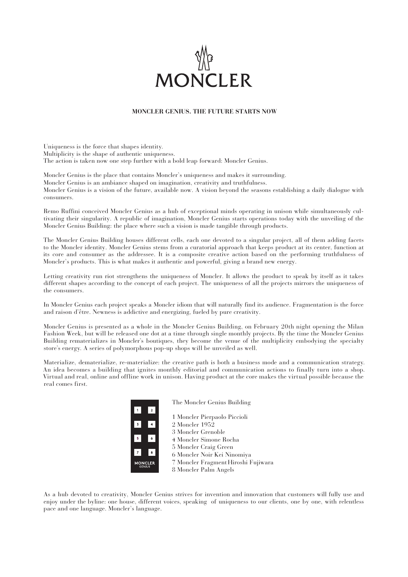# **MONCLER**

# **MONCLER GENIUS. THE FUTURE STARTS NOW**

Uniqueness is the force that shapes identity. Multiplicity is the shape of authentic uniqueness. The action is taken now one step further with a bold leap forward: Moncler Genius.

Moncler Genius is the place that contains Moncler's uniqueness and makes it surrounding. Moncler Genius is an ambiance shaped on imagination, creativity and truthfulness. Moncler Genius is a vision of the future, available now. A vision beyond the seasons establishing a daily dialogue with consumers.

Remo Ruffini conceived Moncler Genius as a hub of exceptional minds operating in unison while simultaneously cultivating their singularity. A republic of imagination, Moncler Genius starts operations today with the unveiling of the Moncler Genius Building: the place where such a vision is made tangible through products.

The Moncler Genius Building houses different cells, each one devoted to a singular project, all of them adding facets to the Moncler identity. Moncler Genius stems from a curatorial approach that keeps product at its center, function at its core and consumer as the addressee. It is a composite creative action based on the performing truthfulness of Moncler's products. This is what makes it authentic and powerful, giving a brand new energy.

Letting creativity run riot strengthens the uniqueness of Moncler. It allows the product to speak by itself as it takes different shapes according to the concept of each project. The uniqueness of all the projects mirrors the uniqueness of the consumers.

In Moncler Genius each project speaks a Moncler idiom that will naturally find its audience. Fragmentation is the force and raison d'être. Newness is addictive and energizing, fueled by pure creativity.

Moncler Genius is presented as a whole in the Moncler Genius Building, on February 20th night opening the Milan Fashion Week, but will be released one dot at a time through single monthly projects. By the time the Moncler Genius Building rematerializes in Moncler's boutiques, they become the venue of the multiplicity embodying the specialty store's energy. A series of polymorphous pop-up shops will be unveiled as well.

Materialize, dematerialize, re-materialize: the creative path is both a business mode and a communication strategy. An idea becomes a building that ignites monthly editorial and communication actions to finally turn into a shop. Virtual and real, online and offline work in unison. Having product at the core makes the virtual possible because the real comes first.

|                         | The Moncler Genius Building         |
|-------------------------|-------------------------------------|
| $\overline{\mathbf{2}}$ |                                     |
|                         | 1 Moncler Pierpaolo Piccioli        |
| 4                       | 2 Moncler 1952                      |
|                         | 3 Moncler Grenoble                  |
| 6                       | 4 Moncler Simone Rocha              |
|                         | 5 Moncler Craig Green               |
| 8                       | 6 Moncler Noir Kei Ninomiya         |
| ONCLER<br><b>GENIUS</b> | 7 Moncler Fragment Hiroshi Fujiwara |
|                         | 8 Moncler Palm Angels               |

As a hub devoted to creativity, Moncler Genius strives for invention and innovation that customers will fully use and enjoy under the byline: one house, different voices, speaking of uniqueness to our clients, one by one, with relentless pace and one language. Moncler's language.